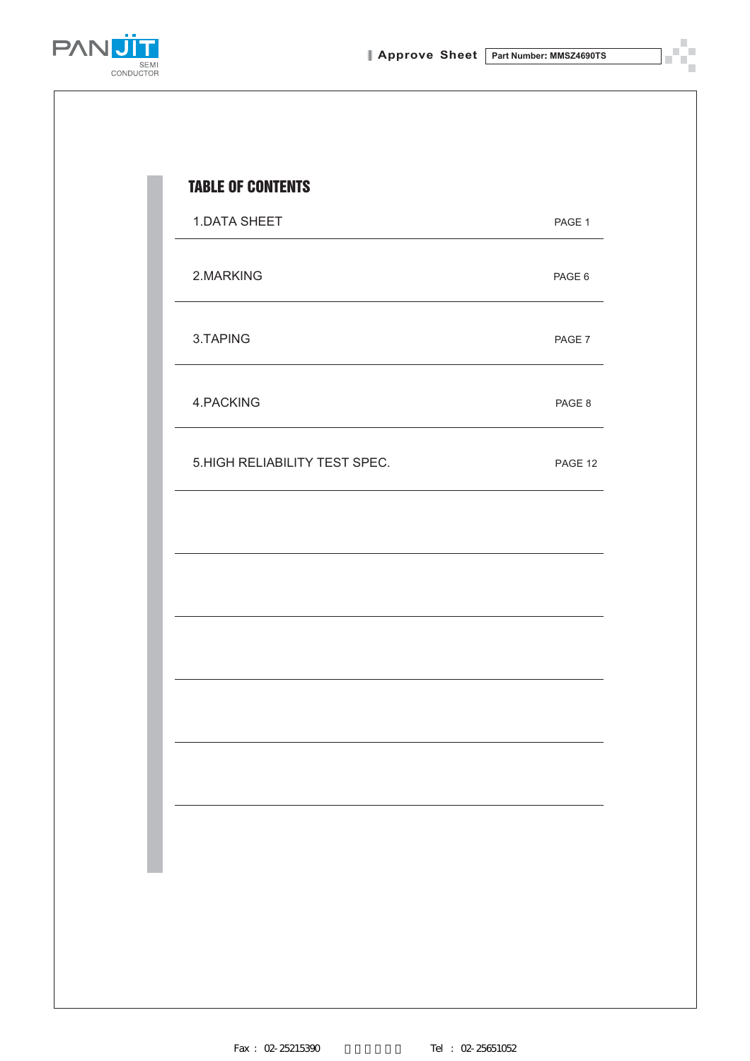T

 $\overline{\phantom{a}}$ 



| PAGE 6                        |         |
|-------------------------------|---------|
| PAGE 7                        |         |
| PAGE 8                        |         |
| 5.HIGH RELIABILITY TEST SPEC. | PAGE 12 |
|                               |         |
|                               |         |
|                               |         |
|                               |         |
|                               |         |
|                               |         |
|                               |         |
|                               |         |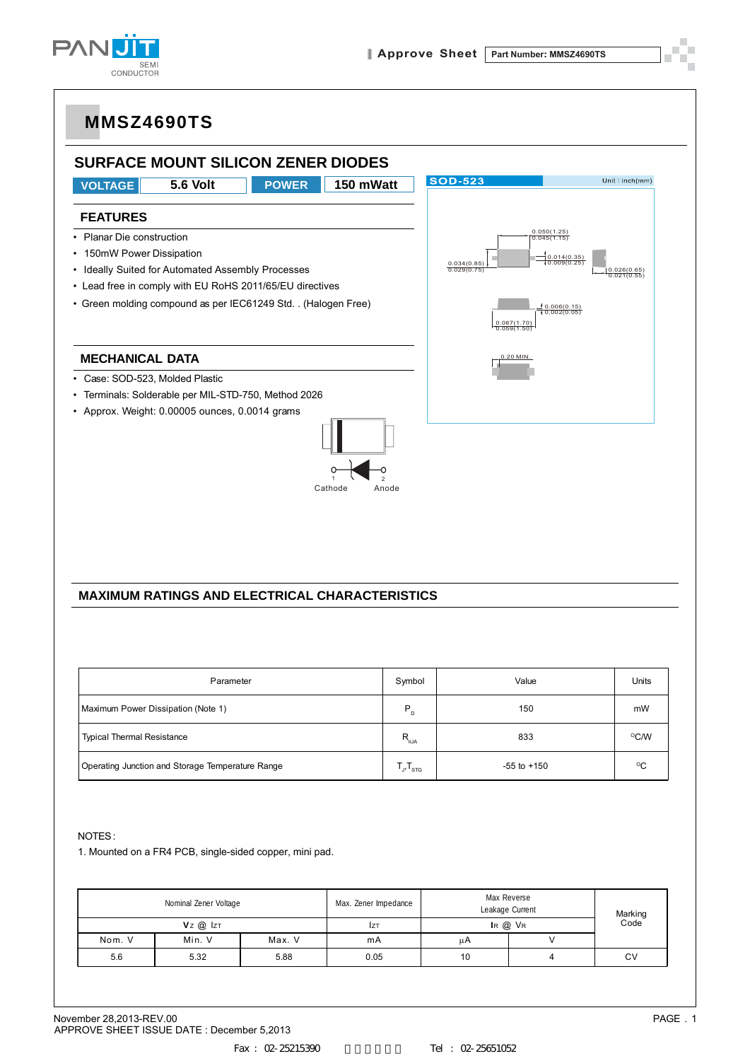



#### **MAXIMUM RATINGS AND ELECTRICAL CHARACTERISTICS**

| Parameter                                        | Symbol                                               | Value           | <b>Units</b> |
|--------------------------------------------------|------------------------------------------------------|-----------------|--------------|
| Maximum Power Dissipation (Note 1)               | $P_{D}$                                              | 150             | mW           |
| <b>Typical Thermal Resistance</b>                | $R_{\theta$ JA                                       | 833             | °C/W         |
| Operating Junction and Storage Temperature Range | $\mathsf{T}_{\mathsf{J}}, \mathsf{T}_{\mathsf{STG}}$ | $-55$ to $+150$ | $^{\circ}$ C |

NOTES :

1. Mounted on a FR4 PCB, single-sided copper, mini pad.

| Nominal Zener Voltage |                |        | Max. Zener Impedance | Max Reverse<br>Leakage Current |  |                 |  |
|-----------------------|----------------|--------|----------------------|--------------------------------|--|-----------------|--|
|                       | $Vz$ $@$ $ z $ |        | <b>IZT</b>           | $IR$ $@$ $VR$                  |  | Marking<br>Code |  |
| Nom. V                | Min. V         | Max. V | mA                   | цA                             |  |                 |  |
| 5.6                   | 5.32           | 5.88   | 0.05                 | 10                             |  | CV              |  |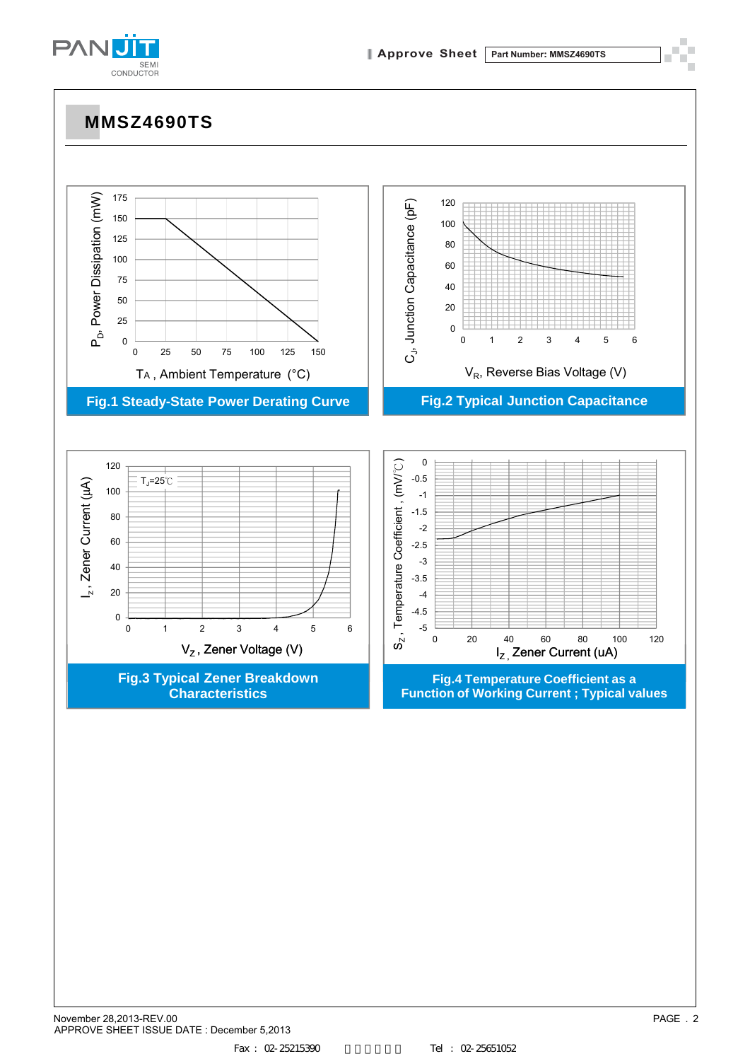

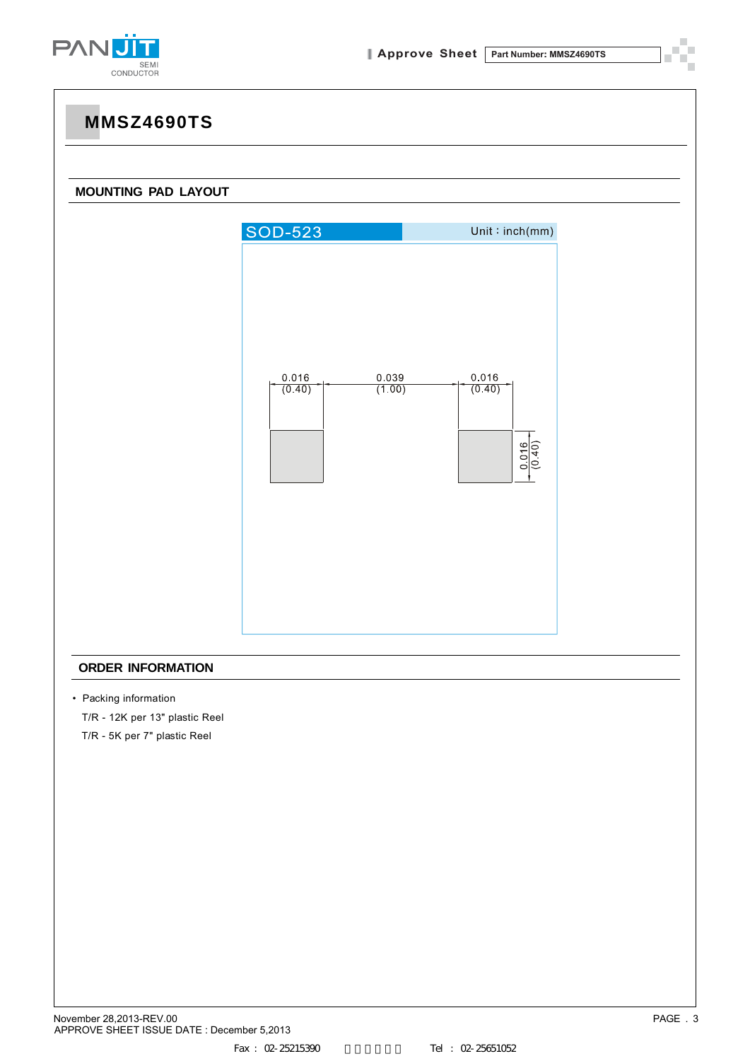

#### **MOUNTING PAD LAYOUT**



#### **ORDER INFORMATION**

• Packing information

T/R - 12K per 13" plastic Reel

T/R - 5K per 7" plastic Reel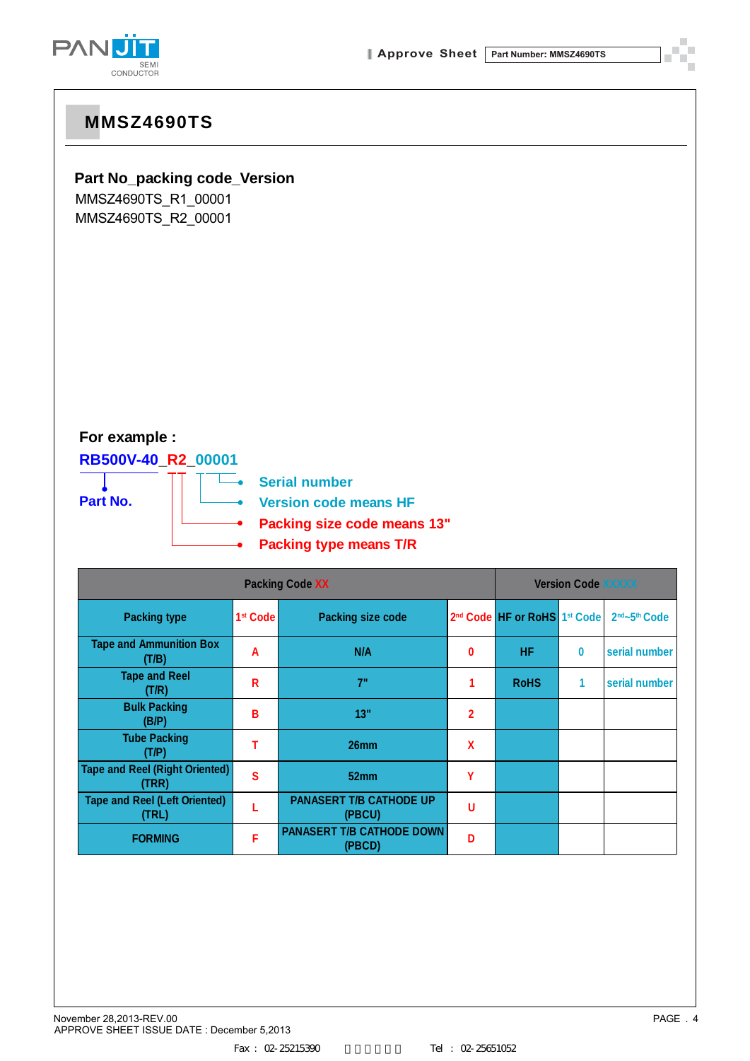

### **Part No\_packing code\_Version**

MMSZ4690TS\_R1\_00001 MMSZ4690TS\_R2\_00001

### **For example :**

#### **RB500V-40\_R2\_00001**



**Serial number Version code means HF Packing size code means 13"**

**Packing type means T/R**

|                                                | <b>Version Code XXXXX</b> |                                            |                           |                                                      |          |                                       |
|------------------------------------------------|---------------------------|--------------------------------------------|---------------------------|------------------------------------------------------|----------|---------------------------------------|
| <b>Packing type</b>                            | 1 <sup>st</sup> Code      | <b>Packing size code</b>                   |                           | 2 <sup>nd</sup> Code HF or RoHS 1 <sup>st</sup> Code |          | 2 <sup>nd</sup> ~5 <sup>th</sup> Code |
| <b>Tape and Ammunition Box</b><br>(T/B)        | A                         | N/A                                        | 0                         | <b>HF</b>                                            | $\bf{0}$ | serial number                         |
| <b>Tape and Reel</b><br>(T/R)                  | R                         | 7"                                         |                           | <b>RoHS</b>                                          | 1        | serial number                         |
| <b>Bulk Packing</b><br>(B/P)                   | В                         | 13"                                        | 2                         |                                                      |          |                                       |
| <b>Tube Packing</b><br>(T/P)                   |                           | 26mm                                       | $\boldsymbol{\mathsf{x}}$ |                                                      |          |                                       |
| <b>Tape and Reel (Right Oriented)</b><br>(TRR) | S                         | 52mm                                       | Υ                         |                                                      |          |                                       |
| <b>Tape and Reel (Left Oriented)</b><br>(TRL)  |                           | <b>PANASERT T/B CATHODE UP</b><br>(PBCU)   | U                         |                                                      |          |                                       |
| <b>FORMING</b>                                 | F                         | <b>PANASERT T/B CATHODE DOWN</b><br>(PBCD) | Ð                         |                                                      |          |                                       |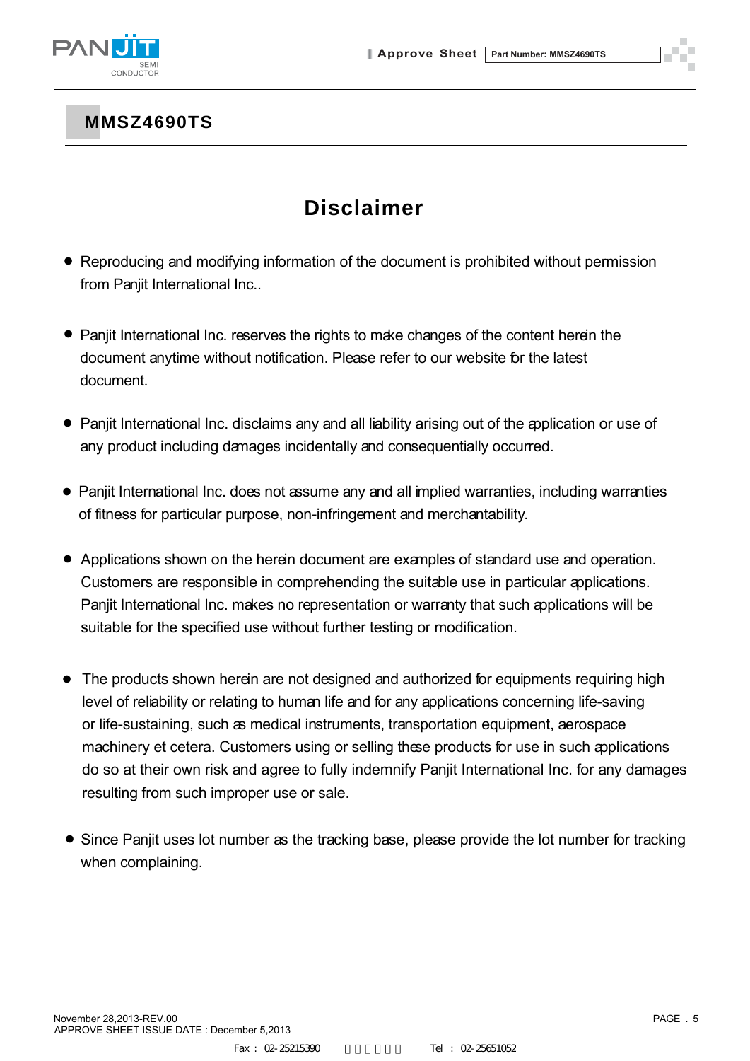

# **Disclaimer**

- Reproducing and modifying information of the document is prohibited without permission from Panjit International Inc..
- Panjit International Inc. reserves the rights to make changes of the content herein the document anytime without notification. Please refer to our website for the latest document.
- Panjit International Inc. disclaims any and all liability arising out of the application or use of any product including damages incidentally and consequentially occurred.
- Panjit International Inc. does not assume any and all implied warranties, including warranties of fitness for particular purpose, non-infringement and merchantability.
- Applications shown on the herein document are examples of standard use and operation. Customers are responsible in comprehending the suitable use in particular applications. Panjit International Inc. makes no representation or warranty that such applications will be suitable for the specified use without further testing or modification.
- The products shown herein are not designed and authorized for equipments requiring high level of reliability or relating to human life and for any applications concerning life-saving or life-sustaining, such as medical instruments, transportation equipment, aerospace machinery et cetera. Customers using or selling these products for use in such applications do so at their own risk and agree to fully indemnify Panjit International Inc. for any damages resulting from such improper use or sale.
- Since Panjit uses lot number as the tracking base, please provide the lot number for tracking when complaining.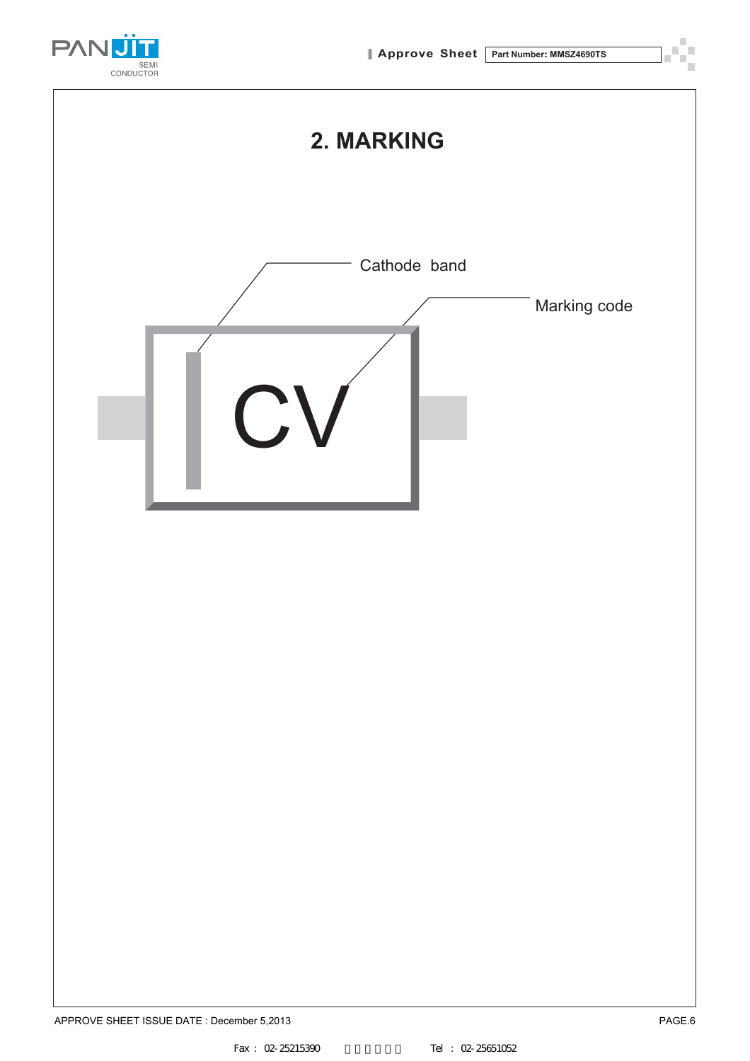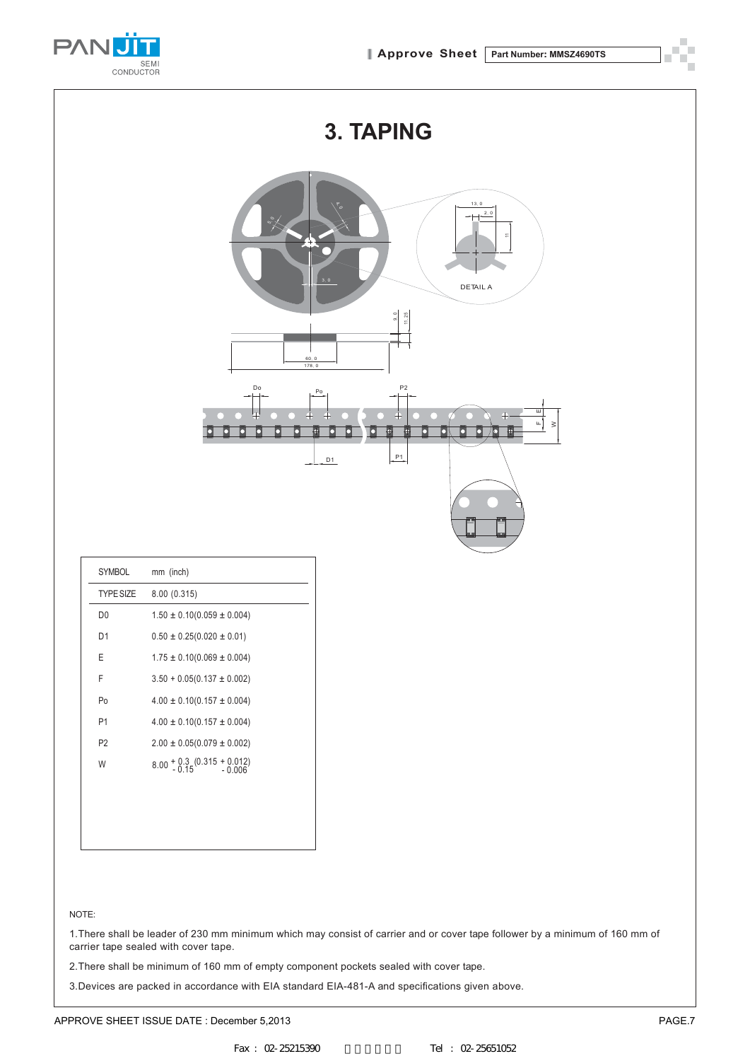

|                | 3. TAPING                                                                                                                   |  |  |  |  |  |
|----------------|-----------------------------------------------------------------------------------------------------------------------------|--|--|--|--|--|
|                | 13, 0<br>2.0<br>∘°้⊀<br>×<br>3, 0<br>DETAIL A                                                                               |  |  |  |  |  |
|                | $\frac{9.0}{11.25}$<br>$60, 0$<br>178, 0                                                                                    |  |  |  |  |  |
|                | Do<br>$\mathsf{P}2$<br>P <sub>0</sub><br>피<br>ш<br>$\mathbb{Z}^4$<br>$\geq$<br>D<br>o<br>0<br>m.<br>г<br>O<br>а<br>P1<br>D1 |  |  |  |  |  |
|                |                                                                                                                             |  |  |  |  |  |
| SYMBOL         | mm (inch)                                                                                                                   |  |  |  |  |  |
| TYPE SIZE      | 8.00(0.315)                                                                                                                 |  |  |  |  |  |
| D <sub>0</sub> | $1.50\pm0.10(0.059\pm0.004)$                                                                                                |  |  |  |  |  |
| D <sub>1</sub> | $0.50 \pm 0.25 (0.020 \pm 0.01)$                                                                                            |  |  |  |  |  |
| $\mathsf E$    | $1.75 \pm 0.10(0.069 \pm 0.004)$                                                                                            |  |  |  |  |  |

#### NOTE:

1.There shall be leader of 230 mm minimum which may consist of carrier and or cover tape follower by a minimum of 160 mm of carrier tape sealed with cover tape.

2.There shall be minimum of 160 mm of empty component pockets sealed with cover tape.

3.Devices are packed in accordance with EIA standard EIA-481-A and specifications given above.

F  $3.50 + 0.05(0.137 \pm 0.002)$ Po  $4.00 \pm 0.10(0.157 \pm 0.004)$ P1  $4.00 \pm 0.10(0.157 \pm 0.004)$  $P2 \t2.00 \pm 0.05(0.079 \pm 0.002)$ W  $8.00 + 0.3 (0.315 + 0.012)$ <br> $-0.15 - 0.006$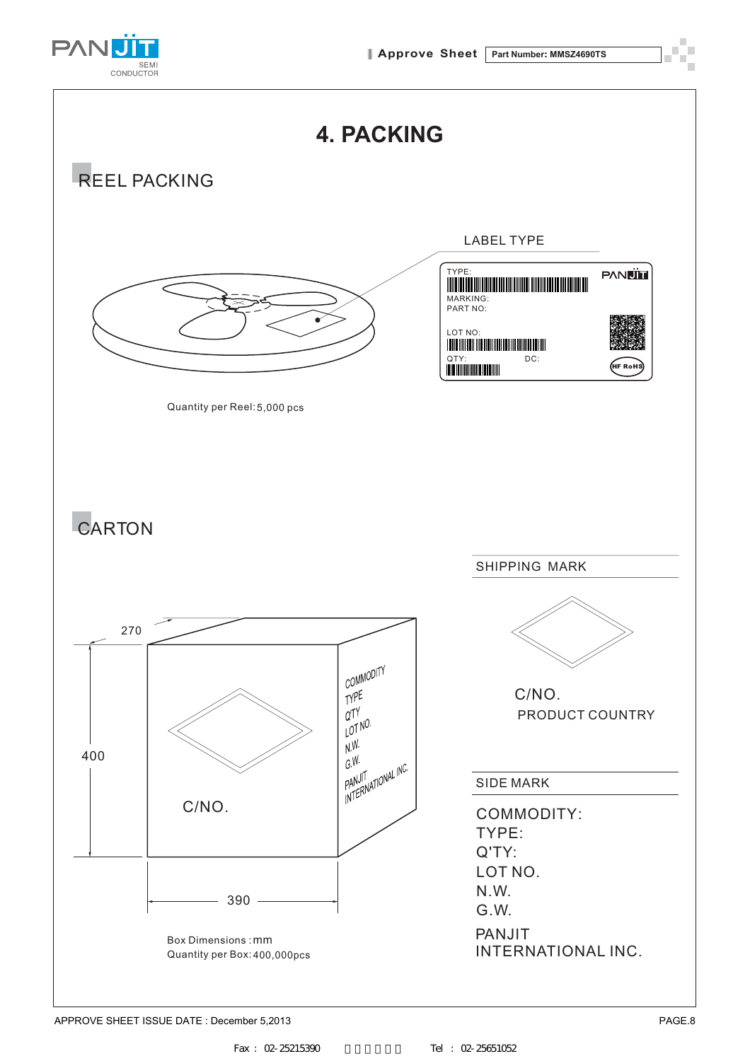

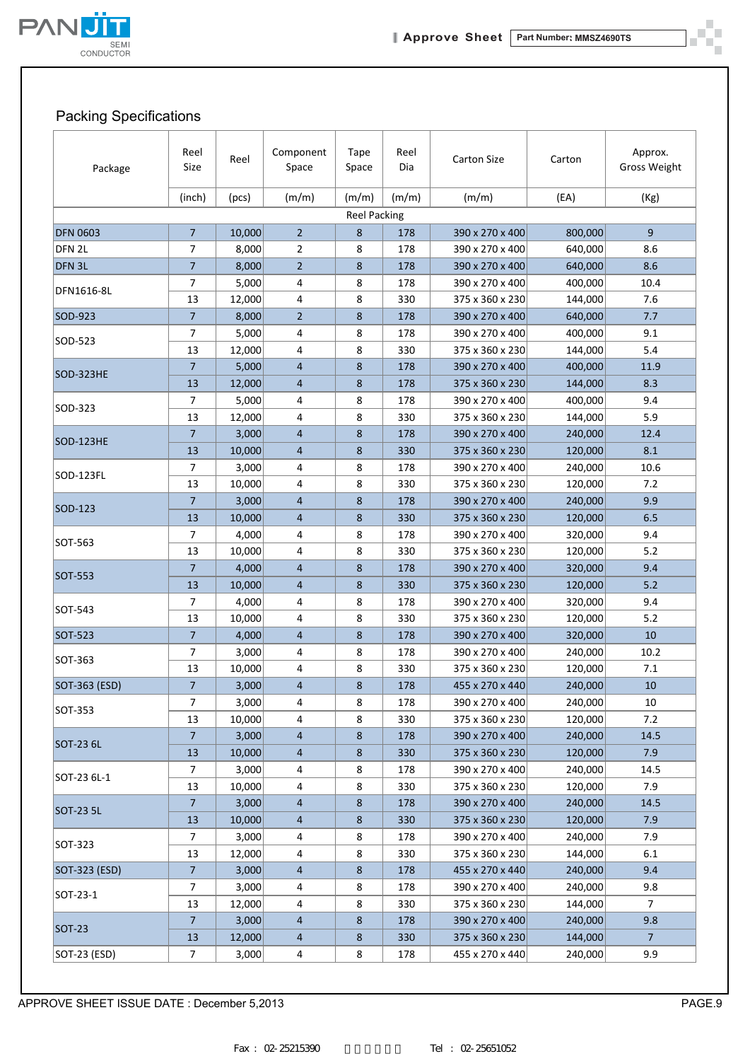

ò.

### Packing Specifications

| Package           | Reel<br>Size   | Reel   | Component<br>Space | <b>Tape</b><br>Space | Reel<br>Dia | <b>Carton Size</b> | Carton  | Approx.<br><b>Gross Weight</b> |
|-------------------|----------------|--------|--------------------|----------------------|-------------|--------------------|---------|--------------------------------|
|                   | (inch)         | (pcs)  | (m/m)              | (m/m)                | (m/m)       | (m/m)              | (EA)    | (Kg)                           |
|                   |                |        |                    | <b>Reel Packing</b>  |             |                    |         |                                |
| <b>DFN 0603</b>   | $\overline{7}$ | 10,000 | $\overline{2}$     | 8                    | 178         | 390 x 270 x 400    | 800,000 | 9                              |
| DFN <sub>2L</sub> | $\overline{7}$ | 8,000  | $\overline{2}$     | 8                    | 178         | 390 x 270 x 400    | 640,000 | 8.6                            |
| DFN <sub>3L</sub> | $\overline{7}$ | 8,000  | $\overline{2}$     | 8                    | 178         | 390 x 270 x 400    | 640,000 | 8.6                            |
| DFN1616-8L        | 7              | 5,000  | 4                  | 8                    | 178         | 390 x 270 x 400    | 400,000 | 10.4                           |
|                   | 13             | 12,000 | 4                  | 8                    | 330         | 375 x 360 x 230    | 144,000 | 7.6                            |
| SOD-923           | $\overline{7}$ | 8,000  | $\overline{2}$     | 8                    | 178         | 390 x 270 x 400    | 640,000 | 7.7                            |
| SOD-523           | $\overline{7}$ | 5,000  | 4                  | 8                    | 178         | 390 x 270 x 400    | 400,000 | 9.1                            |
|                   | 13             | 12,000 | 4                  | 8                    | 330         | 375 x 360 x 230    | 144,000 | 5.4                            |
| SOD-323HE         | $\overline{7}$ | 5,000  | $\overline{4}$     | 8                    | 178         | 390 x 270 x 400    | 400,000 | 11.9                           |
|                   | 13             | 12,000 | $\overline{4}$     | 8                    | 178         | 375 x 360 x 230    | 144,000 | 8.3                            |
| SOD-323           | $\overline{7}$ | 5,000  | 4                  | 8                    | 178         | 390 x 270 x 400    | 400,000 | 9.4                            |
|                   | 13             | 12,000 | 4                  | 8                    | 330         | 375 x 360 x 230    | 144,000 | 5.9                            |
| <b>SOD-123HE</b>  | $\overline{7}$ | 3,000  | $\overline{4}$     | 8                    | 178         | 390 x 270 x 400    | 240,000 | 12.4                           |
|                   | 13             | 10,000 | 4                  | 8                    | 330         | 375 x 360 x 230    | 120,000 | 8.1                            |
| SOD-123FL         | $\overline{7}$ | 3,000  | 4                  | 8                    | 178         | 390 x 270 x 400    | 240,000 | 10.6                           |
|                   | 13             | 10,000 | 4                  | 8                    | 330         | 375 x 360 x 230    | 120,000 | 7.2                            |
| SOD-123           | $\overline{7}$ | 3,000  | $\overline{4}$     | 8                    | 178         | 390 x 270 x 400    | 240,000 | 9.9                            |
|                   | 13             | 10,000 | $\overline{4}$     | 8                    | 330         | 375 x 360 x 230    | 120,000 | 6.5                            |
| SOT-563           | 7              | 4,000  | 4                  | 8                    | 178         | 390 x 270 x 400    | 320,000 | 9.4                            |
|                   | 13             | 10,000 | 4                  | 8                    | 330         | 375 x 360 x 230    | 120,000 | 5.2                            |
| SOT-553           | $\overline{7}$ | 4,000  | $\overline{4}$     | 8                    | 178         | 390 x 270 x 400    | 320,000 | 9.4                            |
|                   | 13             | 10,000 | 4                  | 8                    | 330         | 375 x 360 x 230    | 120,000 | 5.2                            |
| SOT-543           | 7              | 4,000  | 4                  | 8                    | 178         | 390 x 270 x 400    | 320,000 | 9.4                            |
|                   | 13             | 10,000 | 4                  | 8                    | 330         | 375 x 360 x 230    | 120,000 | 5.2                            |
| SOT-523           | $\overline{7}$ | 4,000  | $\overline{4}$     | 8                    | 178         | 390 x 270 x 400    | 320,000 | 10                             |
| SOT-363           | 7              | 3,000  | 4                  | 8                    | 178         | 390 x 270 x 400    | 240,000 | 10.2                           |
|                   | 13             | 10,000 | 4                  | 8                    | 330         | 375 x 360 x 230    | 120,000 | 7.1                            |
| SOT-363 (ESD)     | $\overline{7}$ | 3,000  | 4                  | 8                    | 178         | 455 x 270 x 440    | 240,000 | 10                             |
| SOT-353           | 7              | 3,000  | 4                  | 8                    | 178         | 390 x 270 x 400    | 240,000 | 10                             |
|                   | 13             | 10,000 | 4                  | 8                    | 330         | 375 x 360 x 230    | 120,000 | 7.2                            |
| SOT-23 6L         | $\overline{7}$ | 3,000  | $\overline{4}$     | 8                    | 178         | 390 x 270 x 400    | 240,000 | 14.5                           |
|                   | 13             | 10,000 | 4                  | 8                    | 330         | 375 x 360 x 230    | 120,000 | 7.9                            |
| SOT-23 6L-1       | $\overline{7}$ | 3,000  | 4                  | 8                    | 178         | 390 x 270 x 400    | 240,000 | 14.5                           |
|                   | 13             | 10,000 | 4                  | 8                    | 330         | 375 x 360 x 230    | 120,000 | 7.9                            |
| SOT-23 5L         | $\overline{7}$ | 3,000  | 4                  | $\bf 8$              | 178         | 390 x 270 x 400    | 240,000 | 14.5                           |
|                   | 13             | 10,000 | $\overline{4}$     | 8                    | 330         | 375 x 360 x 230    | 120,000 | 7.9                            |
| SOT-323           | $\overline{7}$ | 3,000  | 4                  | 8                    | 178         | 390 x 270 x 400    | 240,000 | 7.9                            |
|                   | 13             | 12,000 | 4                  | 8                    | 330         | 375 x 360 x 230    | 144,000 | 6.1                            |
| SOT-323 (ESD)     | $\overline{7}$ | 3,000  | $\overline{4}$     | $\bf 8$              | 178         | 455 x 270 x 440    | 240,000 | 9.4                            |
| SOT-23-1          | $\overline{7}$ | 3,000  | 4                  | 8                    | 178         | 390 x 270 x 400    | 240,000 | 9.8                            |
|                   | 13             | 12,000 | 4                  | 8                    | 330         | 375 x 360 x 230    | 144,000 | 7                              |
| <b>SOT-23</b>     | $\overline{7}$ | 3,000  | 4                  | 8                    | 178         | 390 x 270 x 400    | 240,000 | 9.8                            |
|                   | 13             | 12,000 | 4                  | 8                    | 330         | 375 x 360 x 230    | 144,000 | 7 <sup>7</sup>                 |
| SOT-23 (ESD)      | 7              | 3,000  | 4                  | 8                    | 178         | 455 x 270 x 440    | 240,000 | 9.9                            |

APPROVE SHEET ISSUE DATE : December 5,2013 PAGE.9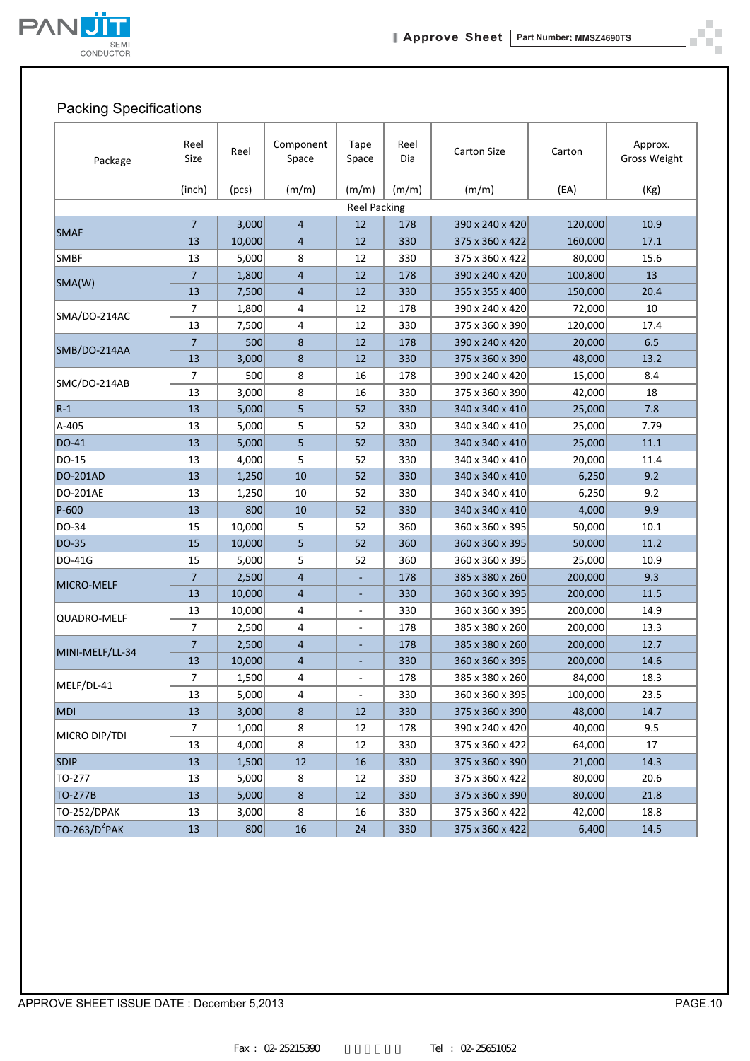

ð. шŬ

## Packing Specifications

| Package                   | Reel<br>Size   | Reel   | Component<br>Space | Tape<br>Space            | Reel<br>Dia | <b>Carton Size</b> | Carton  | Approx.<br><b>Gross Weight</b> |
|---------------------------|----------------|--------|--------------------|--------------------------|-------------|--------------------|---------|--------------------------------|
|                           | (inch)         | (pcs)  | (m/m)              | (m/m)                    | (m/m)       | (m/m)              | (EA)    | (Kg)                           |
|                           |                |        |                    | <b>Reel Packing</b>      |             |                    |         |                                |
|                           | $\overline{7}$ | 3,000  | $\overline{4}$     | 12                       | 178         | 390 x 240 x 420    | 120,000 | 10.9                           |
| <b>SMAF</b>               | 13             | 10,000 | 4                  | 12                       | 330         | 375 x 360 x 422    | 160,000 | 17.1                           |
| <b>SMBF</b>               | 13             | 5,000  | 8                  | 12                       | 330         | 375 x 360 x 422    | 80,000  | 15.6                           |
|                           | $\overline{7}$ | 1,800  | $\overline{4}$     | 12                       | 178         | 390 x 240 x 420    | 100,800 | 13                             |
| SMA(W)                    | 13             | 7,500  | 4                  | 12                       | 330         | 355 x 355 x 400    | 150,000 | 20.4                           |
|                           | $\overline{7}$ | 1,800  | 4                  | 12                       | 178         | 390 x 240 x 420    | 72,000  | 10                             |
| SMA/DO-214AC              | 13             | 7,500  | 4                  | 12                       | 330         | 375 x 360 x 390    | 120,000 | 17.4                           |
|                           | $\overline{7}$ | 500    | 8                  | 12                       | 178         | 390 x 240 x 420    | 20,000  | 6.5                            |
| SMB/DO-214AA              | 13             | 3,000  | 8                  | 12                       | 330         | 375 x 360 x 390    | 48,000  | 13.2                           |
|                           | 7              | 500    | 8                  | 16                       | 178         | 390 x 240 x 420    | 15,000  | 8.4                            |
| SMC/DO-214AB              | 13             | 3,000  | 8                  | 16                       | 330         | 375 x 360 x 390    | 42,000  | 18                             |
| $R-1$                     | 13             | 5,000  | 5                  | 52                       | 330         | 340 x 340 x 410    | 25,000  | 7.8                            |
| A-405                     | 13             | 5,000  | 5                  | 52                       | 330         | 340 x 340 x 410    | 25,000  | 7.79                           |
| DO-41                     | 13             | 5,000  | 5                  | 52                       | 330         | 340 x 340 x 410    | 25,000  | 11.1                           |
| DO-15                     | 13             | 4,000  | 5                  | 52                       | 330         | 340 x 340 x 410    | 20,000  | 11.4                           |
| <b>DO-201AD</b>           | 13             | 1,250  | 10                 | 52                       | 330         | 340 x 340 x 410    | 6,250   | 9.2                            |
| DO-201AE                  | 13             | 1,250  | 10                 | 52                       | 330         | 340 x 340 x 410    | 6,250   | 9.2                            |
| $P-600$                   | 13             | 800    | 10                 | 52                       | 330         | 340 x 340 x 410    | 4,000   | 9.9                            |
| DO-34                     | 15             | 10,000 | 5                  | 52                       | 360         | 360 x 360 x 395    | 50,000  | 10.1                           |
| DO-35                     | 15             | 10,000 | 5                  | 52                       | 360         | 360 x 360 x 395    | 50,000  | 11.2                           |
| DO-41G                    | 15             | 5,000  | 5                  | 52                       | 360         | 360 x 360 x 395    | 25,000  | 10.9                           |
|                           | $\overline{7}$ | 2,500  | $\overline{4}$     |                          | 178         | 385 x 380 x 260    | 200,000 | 9.3                            |
| MICRO-MELF                | 13             | 10,000 | 4                  | ٠                        | 330         | 360 x 360 x 395    | 200,000 | 11.5                           |
|                           | 13             | 10,000 | 4                  | $\overline{\phantom{a}}$ | 330         | 360 x 360 x 395    | 200,000 | 14.9                           |
| QUADRO-MELF               | $\overline{7}$ | 2,500  | 4                  |                          | 178         | 385 x 380 x 260    | 200,000 | 13.3                           |
|                           | $\overline{7}$ | 2,500  | $\overline{4}$     |                          | 178         | 385 x 380 x 260    | 200,000 | 12.7                           |
| MINI-MELF/LL-34           | 13             | 10,000 | 4                  |                          | 330         | 360 x 360 x 395    | 200,000 | 14.6                           |
|                           | 7              | 1,500  | 4                  | $\blacksquare$           | 178         | 385 x 380 x 260    | 84,000  | 18.3                           |
| MELF/DL-41                | 13             | 5,000  | 4                  | $\omega$                 | 330         | 360 x 360 x 395    | 100,000 | 23.5                           |
| <b>MDI</b>                | 13             | 3,000  | 8                  | 12                       | 330         | 375 x 360 x 390    | 48,000  | 14.7                           |
|                           | 7              | 1,000  | 8                  | 12                       | 178         | 390 x 240 x 420    | 40,000  | 9.5                            |
| MICRO DIP/TDI             | 13             | 4,000  | 8                  | 12                       | 330         | 375 x 360 x 422    | 64,000  | 17                             |
| <b>SDIP</b>               | $13\,$         | 1,500  | 12                 | 16                       | 330         | 375 x 360 x 390    | 21,000  | 14.3                           |
| TO-277                    | 13             | 5,000  | 8                  | 12                       | 330         | 375 x 360 x 422    | 80,000  | 20.6                           |
| TO-277B                   | 13             | 5,000  | $8\phantom{1}$     | $12\,$                   | 330         | 375 x 360 x 390    | 80,000  | 21.8                           |
| <b>TO-252/DPAK</b>        | 13             | 3,000  | 8                  | 16                       | 330         | 375 x 360 x 422    | 42,000  | 18.8                           |
| TO-263/D <sup>2</sup> PAK | $13\,$         | 800    | $16\,$             | 24                       | 330         | 375 x 360 x 422    | 6,400   | 14.5                           |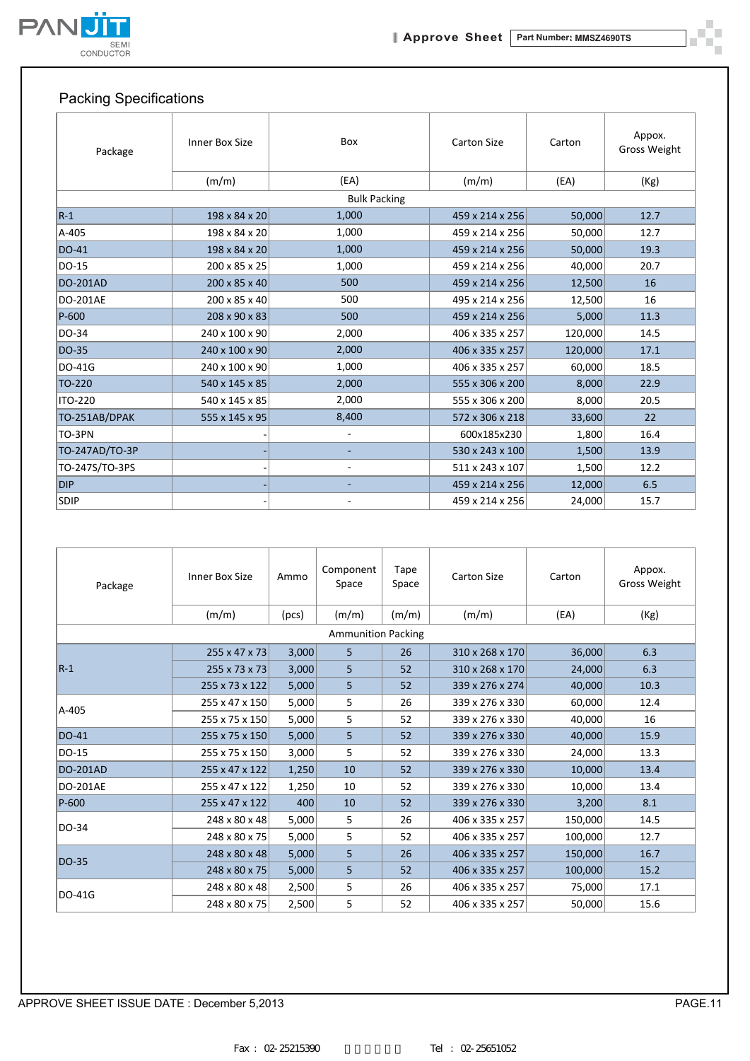

ð. шí

## Packing Specifications

| Package         | Inner Box Size | Box                      | <b>Carton Size</b> | Carton  | Appox.<br><b>Gross Weight</b> |
|-----------------|----------------|--------------------------|--------------------|---------|-------------------------------|
|                 | (m/m)          | (EA)                     | (m/m)              | (EA)    | (Kg)                          |
|                 |                | <b>Bulk Packing</b>      |                    |         |                               |
| $R-1$           | 198 x 84 x 20  | 1,000                    | 459 x 214 x 256    | 50,000  | 12.7                          |
| A-405           | 198 x 84 x 20  | 1,000                    | 459 x 214 x 256    | 50,000  | 12.7                          |
| <b>DO-41</b>    | 198 x 84 x 20  | 1,000                    | 459 x 214 x 256    | 50,000  | 19.3                          |
| DO-15           | 200 x 85 x 25  | 1,000                    | 459 x 214 x 256    | 40,000  | 20.7                          |
| <b>DO-201AD</b> | 200 x 85 x 40  | 500                      | 459 x 214 x 256    | 12,500  | 16                            |
| <b>DO-201AE</b> | 200 x 85 x 40  | 500                      | 495 x 214 x 256    | 12,500  | 16                            |
| $P-600$         | 208 x 90 x 83  | 500                      | 459 x 214 x 256    | 5,000   | 11.3                          |
| DO-34           | 240 x 100 x 90 | 2,000                    | 406 x 335 x 257    | 120,000 | 14.5                          |
| DO-35           | 240 x 100 x 90 | 2,000                    | 406 x 335 x 257    | 120,000 | 17.1                          |
| DO-41G          | 240 x 100 x 90 | 1,000                    | 406 x 335 x 257    | 60,000  | 18.5                          |
| TO-220          | 540 x 145 x 85 | 2,000                    | 555 x 306 x 200    | 8,000   | 22.9                          |
| <b>ITO-220</b>  | 540 x 145 x 85 | 2,000                    | 555 x 306 x 200    | 8,000   | 20.5                          |
| TO-251AB/DPAK   | 555 x 145 x 95 | 8,400                    | 572 x 306 x 218    | 33,600  | 22                            |
| TO-3PN          |                | $\overline{\phantom{a}}$ | 600x185x230        | 1,800   | 16.4                          |
| TO-247AD/TO-3P  |                |                          | 530 x 243 x 100    | 1,500   | 13.9                          |
| TO-247S/TO-3PS  |                | $\overline{\phantom{a}}$ | 511 x 243 x 107    | 1,500   | 12.2                          |
| <b>DIP</b>      |                |                          | 459 x 214 x 256    | 12,000  | 6.5                           |
| <b>SDIP</b>     |                |                          | 459 x 214 x 256    | 24,000  | 15.7                          |

| Package         | Inner Box Size            | Ammo  | Component<br>Space        | Tape<br>Space | <b>Carton Size</b> | Carton  | Appox.<br>Gross Weight |
|-----------------|---------------------------|-------|---------------------------|---------------|--------------------|---------|------------------------|
|                 | (m/m)                     | (pcs) | (m/m)                     | (m/m)         | (m/m)              | (EA)    | (Kg)                   |
|                 |                           |       | <b>Ammunition Packing</b> |               |                    |         |                        |
|                 | $255 \times 47 \times 73$ | 3,000 | 5                         | 26            | 310 x 268 x 170    | 36,000  | 6.3                    |
| $R-1$           | 255 x 73 x 73             | 3,000 | 5                         | 52            | 310 x 268 x 170    | 24,000  | 6.3                    |
|                 | 255 x 73 x 122            | 5,000 | 5                         | 52            | 339 x 276 x 274    | 40,000  | 10.3                   |
| A-405           | 255 x 47 x 150            | 5,000 | 5                         | 26            | 339 x 276 x 330    | 60,000  | 12.4                   |
|                 | 255 x 75 x 150            | 5,000 | 5.                        | 52            | 339 x 276 x 330    | 40,000  | 16                     |
| DO-41           | 255 x 75 x 150            | 5,000 | 5                         | 52            | 339 x 276 x 330    | 40,000  | 15.9                   |
| DO-15           | 255 x 75 x 150            | 3,000 | 5                         | 52            | 339 x 276 x 330    | 24,000  | 13.3                   |
| <b>DO-201AD</b> | 255 x 47 x 122            | 1,250 | 10                        | 52            | 339 x 276 x 330    | 10,000  | 13.4                   |
| <b>DO-201AE</b> | 255 x 47 x 122            | 1,250 | 10                        | 52            | 339 x 276 x 330    | 10,000  | 13.4                   |
| P-600           | 255 x 47 x 122            | 400   | 10                        | 52            | 339 x 276 x 330    | 3,200   | 8.1                    |
| DO-34           | 248 x 80 x 48             | 5,000 | 5                         | 26            | 406 x 335 x 257    | 150,000 | 14.5                   |
|                 | 248 x 80 x 75             | 5,000 | 5                         | 52            | 406 x 335 x 257    | 100,000 | 12.7                   |
| <b>DO-35</b>    | 248 x 80 x 48             | 5,000 | 5                         | 26            | 406 x 335 x 257    | 150,000 | 16.7                   |
|                 | 248 x 80 x 75             | 5,000 | 5                         | 52            | 406 x 335 x 257    | 100,000 | 15.2                   |
| DO-41G          | 248 x 80 x 48             | 2,500 | 5                         | 26            | 406 x 335 x 257    | 75,000  | 17.1                   |
|                 | 248 x 80 x 75             | 2,500 | 5                         | 52            | 406 x 335 x 257    | 50,000  | 15.6                   |

APPROVE SHEET ISSUE DATE : December 5,2013 PAGE.11